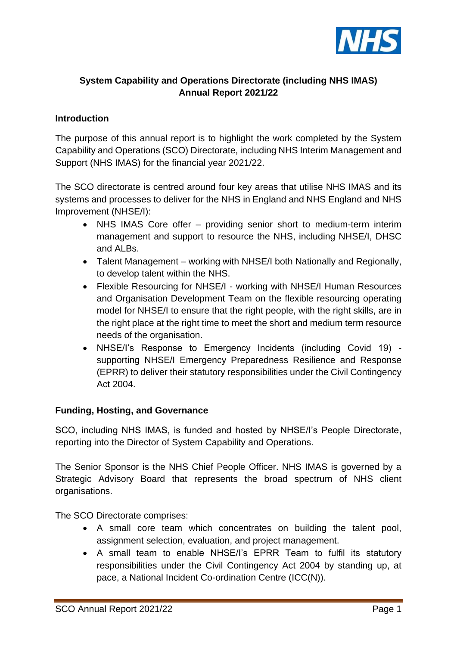

# **System Capability and Operations Directorate (including NHS IMAS) Annual Report 2021/22**

### **Introduction**

The purpose of this annual report is to highlight the work completed by the System Capability and Operations (SCO) Directorate, including NHS Interim Management and Support (NHS IMAS) for the financial year 2021/22.

The SCO directorate is centred around four key areas that utilise NHS IMAS and its systems and processes to deliver for the NHS in England and NHS England and NHS Improvement (NHSE/I):

- NHS IMAS Core offer providing senior short to medium-term interim management and support to resource the NHS, including NHSE/I, DHSC and ALBs.
- Talent Management working with NHSE/I both Nationally and Regionally, to develop talent within the NHS.
- Flexible Resourcing for NHSE/I working with NHSE/I Human Resources and Organisation Development Team on the flexible resourcing operating model for NHSE/I to ensure that the right people, with the right skills, are in the right place at the right time to meet the short and medium term resource needs of the organisation.
- NHSE/I's Response to Emergency Incidents (including Covid 19) supporting NHSE/I Emergency Preparedness Resilience and Response (EPRR) to deliver their statutory responsibilities under the Civil Contingency Act 2004.

#### **Funding, Hosting, and Governance**

SCO, including NHS IMAS, is funded and hosted by NHSE/I's People Directorate, reporting into the Director of System Capability and Operations.

The Senior Sponsor is the NHS Chief People Officer. NHS IMAS is governed by a Strategic Advisory Board that represents the broad spectrum of NHS client organisations.

The SCO Directorate comprises:

- A small core team which concentrates on building the talent pool, assignment selection, evaluation, and project management.
- A small team to enable NHSE/I's EPRR Team to fulfil its statutory responsibilities under the Civil Contingency Act 2004 by standing up, at pace, a National Incident Co-ordination Centre (ICC(N)).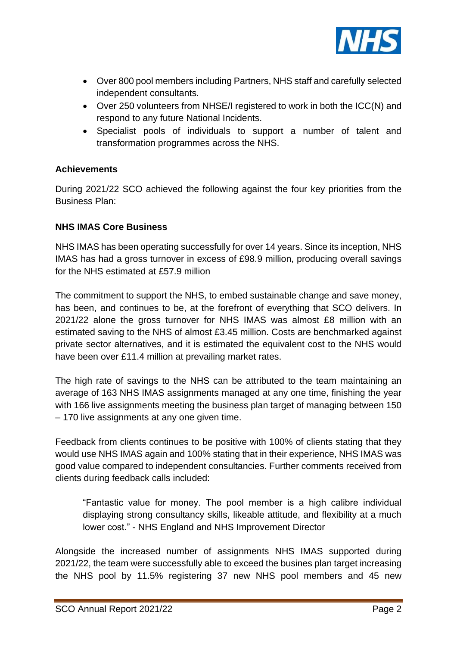

- Over 800 pool members including Partners, NHS staff and carefully selected independent consultants.
- Over 250 volunteers from NHSE/I registered to work in both the ICC(N) and respond to any future National Incidents.
- Specialist pools of individuals to support a number of talent and transformation programmes across the NHS.

# **Achievements**

During 2021/22 SCO achieved the following against the four key priorities from the Business Plan:

#### **NHS IMAS Core Business**

NHS IMAS has been operating successfully for over 14 years. Since its inception, NHS IMAS has had a gross turnover in excess of £98.9 million, producing overall savings for the NHS estimated at £57.9 million

The commitment to support the NHS, to embed sustainable change and save money, has been, and continues to be, at the forefront of everything that SCO delivers. In 2021/22 alone the gross turnover for NHS IMAS was almost £8 million with an estimated saving to the NHS of almost £3.45 million. Costs are benchmarked against private sector alternatives, and it is estimated the equivalent cost to the NHS would have been over £11.4 million at prevailing market rates.

The high rate of savings to the NHS can be attributed to the team maintaining an average of 163 NHS IMAS assignments managed at any one time, finishing the year with 166 live assignments meeting the business plan target of managing between 150 – 170 live assignments at any one given time.

Feedback from clients continues to be positive with 100% of clients stating that they would use NHS IMAS again and 100% stating that in their experience, NHS IMAS was good value compared to independent consultancies. Further comments received from clients during feedback calls included:

"Fantastic value for money. The pool member is a high calibre individual displaying strong consultancy skills, likeable attitude, and flexibility at a much lower cost." - NHS England and NHS Improvement Director

Alongside the increased number of assignments NHS IMAS supported during 2021/22, the team were successfully able to exceed the busines plan target increasing the NHS pool by 11.5% registering 37 new NHS pool members and 45 new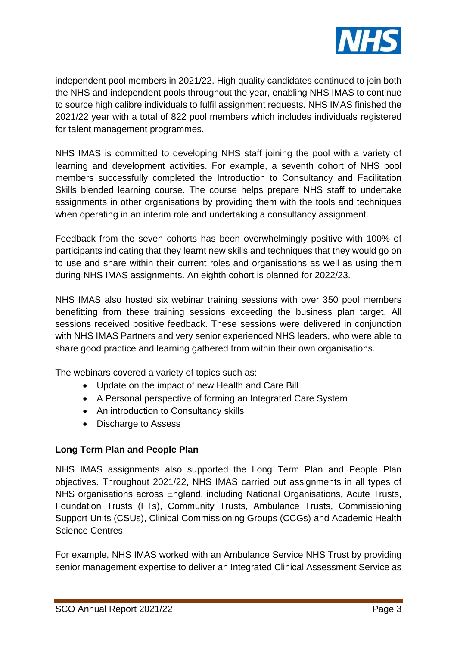

independent pool members in 2021/22. High quality candidates continued to join both the NHS and independent pools throughout the year, enabling NHS IMAS to continue to source high calibre individuals to fulfil assignment requests. NHS IMAS finished the 2021/22 year with a total of 822 pool members which includes individuals registered for talent management programmes.

NHS IMAS is committed to developing NHS staff joining the pool with a variety of learning and development activities. For example, a seventh cohort of NHS pool members successfully completed the Introduction to Consultancy and Facilitation Skills blended learning course. The course helps prepare NHS staff to undertake assignments in other organisations by providing them with the tools and techniques when operating in an interim role and undertaking a consultancy assignment.

Feedback from the seven cohorts has been overwhelmingly positive with 100% of participants indicating that they learnt new skills and techniques that they would go on to use and share within their current roles and organisations as well as using them during NHS IMAS assignments. An eighth cohort is planned for 2022/23.

NHS IMAS also hosted six webinar training sessions with over 350 pool members benefitting from these training sessions exceeding the business plan target. All sessions received positive feedback. These sessions were delivered in conjunction with NHS IMAS Partners and very senior experienced NHS leaders, who were able to share good practice and learning gathered from within their own organisations.

The webinars covered a variety of topics such as:

- Update on the impact of new Health and Care Bill
- A Personal perspective of forming an Integrated Care System
- An introduction to Consultancy skills
- Discharge to Assess

# **Long Term Plan and People Plan**

NHS IMAS assignments also supported the Long Term Plan and People Plan objectives. Throughout 2021/22, NHS IMAS carried out assignments in all types of NHS organisations across England, including National Organisations, Acute Trusts, Foundation Trusts (FTs), Community Trusts, Ambulance Trusts, Commissioning Support Units (CSUs), Clinical Commissioning Groups (CCGs) and Academic Health Science Centres.

For example, NHS IMAS worked with an Ambulance Service NHS Trust by providing senior management expertise to deliver an Integrated Clinical Assessment Service as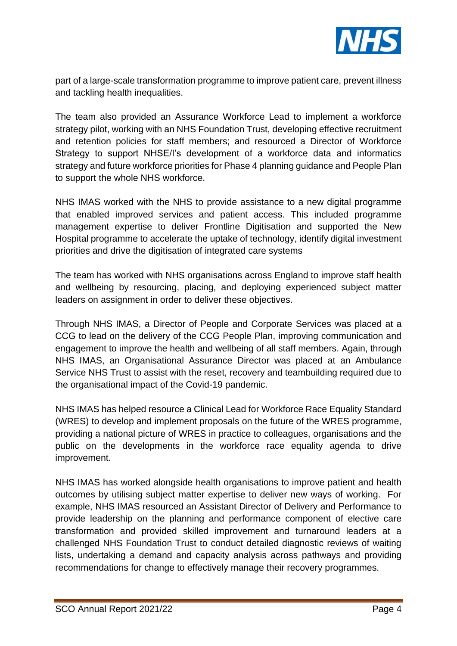

part of a large-scale transformation programme to improve patient care, prevent illness and tackling health inequalities.

The team also provided an Assurance Workforce Lead to implement a workforce strategy pilot, working with an NHS Foundation Trust, developing effective recruitment and retention policies for staff members; and resourced a Director of Workforce Strategy to support NHSE/I's development of a workforce data and informatics strategy and future workforce priorities for Phase 4 planning guidance and People Plan to support the whole NHS workforce.

NHS IMAS worked with the NHS to provide assistance to a new digital programme that enabled improved services and patient access. This included programme management expertise to deliver Frontline Digitisation and supported the New Hospital programme to accelerate the uptake of technology, identify digital investment priorities and drive the digitisation of integrated care systems

The team has worked with NHS organisations across England to improve staff health and wellbeing by resourcing, placing, and deploying experienced subject matter leaders on assignment in order to deliver these objectives.

Through NHS IMAS, a Director of People and Corporate Services was placed at a CCG to lead on the delivery of the CCG People Plan, improving communication and engagement to improve the health and wellbeing of all staff members. Again, through NHS IMAS, an Organisational Assurance Director was placed at an Ambulance Service NHS Trust to assist with the reset, recovery and teambuilding required due to the organisational impact of the Covid-19 pandemic.

NHS IMAS has helped resource a Clinical Lead for Workforce Race Equality Standard (WRES) to develop and implement proposals on the future of the WRES programme, providing a national picture of WRES in practice to colleagues, organisations and the public on the developments in the workforce race equality agenda to drive improvement.

NHS IMAS has worked alongside health organisations to improve patient and health outcomes by utilising subject matter expertise to deliver new ways of working. For example, NHS IMAS resourced an Assistant Director of Delivery and Performance to provide leadership on the planning and performance component of elective care transformation and provided skilled improvement and turnaround leaders at a challenged NHS Foundation Trust to conduct detailed diagnostic reviews of waiting lists, undertaking a demand and capacity analysis across pathways and providing recommendations for change to effectively manage their recovery programmes.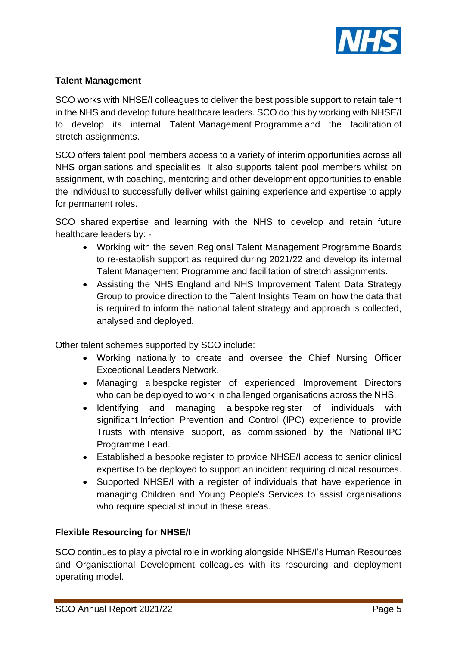

### **Talent Management**

SCO works with NHSE/I colleagues to deliver the best possible support to retain talent in the NHS and develop future healthcare leaders. SCO do this by working with NHSE/I to develop its internal Talent Management Programme and the facilitation of stretch assignments.

SCO offers talent pool members access to a variety of interim opportunities across all NHS organisations and specialities. It also supports talent pool members whilst on assignment, with coaching, mentoring and other development opportunities to enable the individual to successfully deliver whilst gaining experience and expertise to apply for permanent roles.

SCO shared expertise and learning with the NHS to develop and retain future healthcare leaders by: -

- Working with the seven Regional Talent Management Programme Boards to re-establish support as required during 2021/22 and develop its internal Talent Management Programme and facilitation of stretch assignments.
- Assisting the NHS England and NHS Improvement Talent Data Strategy Group to provide direction to the Talent Insights Team on how the data that is required to inform the national talent strategy and approach is collected, analysed and deployed.

Other talent schemes supported by SCO include:

- Working nationally to create and oversee the Chief Nursing Officer Exceptional Leaders Network.
- Managing a bespoke register of experienced Improvement Directors who can be deployed to work in challenged organisations across the NHS.
- Identifying and managing a bespoke register of individuals with significant Infection Prevention and Control (IPC) experience to provide Trusts with intensive support, as commissioned by the National IPC Programme Lead.
- Established a bespoke register to provide NHSE/I access to senior clinical expertise to be deployed to support an incident requiring clinical resources.
- Supported NHSE/I with a register of individuals that have experience in managing Children and Young People's Services to assist organisations who require specialist input in these areas.

# **Flexible Resourcing for NHSE/I**

SCO continues to play a pivotal role in working alongside NHSE/I's Human Resources and Organisational Development colleagues with its resourcing and deployment operating model.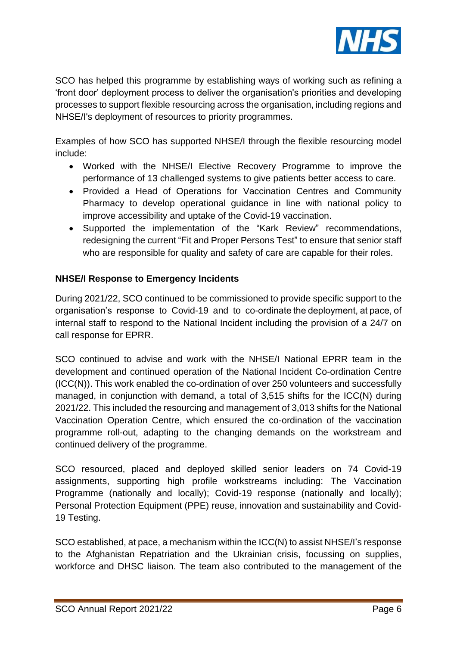

SCO has helped this programme by establishing ways of working such as refining a 'front door' deployment process to deliver the organisation's priorities and developing processes to support flexible resourcing across the organisation, including regions and NHSE/I's deployment of resources to priority programmes.

Examples of how SCO has supported NHSE/I through the flexible resourcing model include:

- Worked with the NHSE/I Elective Recovery Programme to improve the performance of 13 challenged systems to give patients better access to care.
- Provided a Head of Operations for Vaccination Centres and Community Pharmacy to develop operational guidance in line with national policy to improve accessibility and uptake of the Covid-19 vaccination.
- Supported the implementation of the "Kark Review" recommendations, redesigning the current "Fit and Proper Persons Test" to ensure that senior staff who are responsible for quality and safety of care are capable for their roles.

# **NHSE/I Response to Emergency Incidents**

During 2021/22, SCO continued to be commissioned to provide specific support to the organisation's response to Covid-19 and to co-ordinate the deployment, at pace, of internal staff to respond to the National Incident including the provision of a 24/7 on call response for EPRR.

SCO continued to advise and work with the NHSE/I National EPRR team in the development and continued operation of the National Incident Co-ordination Centre (ICC(N)). This work enabled the co-ordination of over 250 volunteers and successfully managed, in conjunction with demand, a total of 3,515 shifts for the ICC(N) during 2021/22. This included the resourcing and management of 3,013 shifts for the National Vaccination Operation Centre, which ensured the co-ordination of the vaccination programme roll-out, adapting to the changing demands on the workstream and continued delivery of the programme.

SCO resourced, placed and deployed skilled senior leaders on 74 Covid-19 assignments, supporting high profile workstreams including: The Vaccination Programme (nationally and locally); Covid-19 response (nationally and locally); Personal Protection Equipment (PPE) reuse, innovation and sustainability and Covid-19 Testing.

SCO established, at pace, a mechanism within the ICC(N) to assist NHSE/I's response to the Afghanistan Repatriation and the Ukrainian crisis, focussing on supplies, workforce and DHSC liaison. The team also contributed to the management of the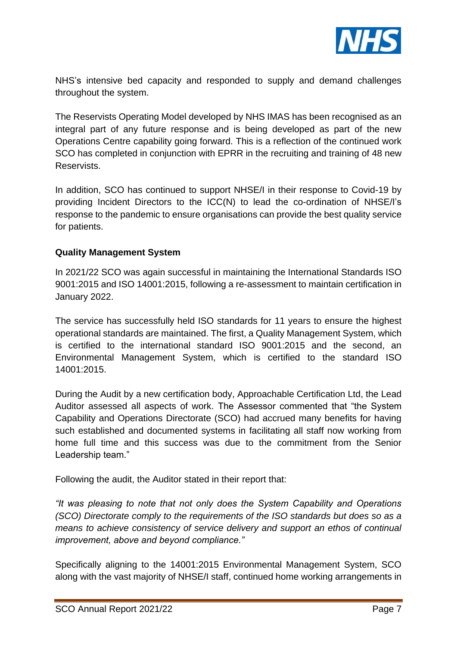

NHS's intensive bed capacity and responded to supply and demand challenges throughout the system.

The Reservists Operating Model developed by NHS IMAS has been recognised as an integral part of any future response and is being developed as part of the new Operations Centre capability going forward. This is a reflection of the continued work SCO has completed in conjunction with EPRR in the recruiting and training of 48 new Reservists.

In addition, SCO has continued to support NHSE/I in their response to Covid-19 by providing Incident Directors to the ICC(N) to lead the co-ordination of NHSE/I's response to the pandemic to ensure organisations can provide the best quality service for patients.

#### **Quality Management System**

In 2021/22 SCO was again successful in maintaining the International Standards ISO 9001:2015 and ISO 14001:2015, following a re-assessment to maintain certification in January 2022.

The service has successfully held ISO standards for 11 years to ensure the highest operational standards are maintained. The first, a Quality Management System, which is certified to the international standard ISO 9001:2015 and the second, an Environmental Management System, which is certified to the standard ISO 14001:2015.

During the Audit by a new certification body, Approachable Certification Ltd, the Lead Auditor assessed all aspects of work. The Assessor commented that "the System Capability and Operations Directorate (SCO) had accrued many benefits for having such established and documented systems in facilitating all staff now working from home full time and this success was due to the commitment from the Senior Leadership team."

Following the audit, the Auditor stated in their report that:

*"It was pleasing to note that not only does the System Capability and Operations (SCO) Directorate comply to the requirements of the ISO standards but does so as a means to achieve consistency of service delivery and support an ethos of continual improvement, above and beyond compliance."*

Specifically aligning to the 14001:2015 Environmental Management System, SCO along with the vast majority of NHSE/I staff, continued home working arrangements in